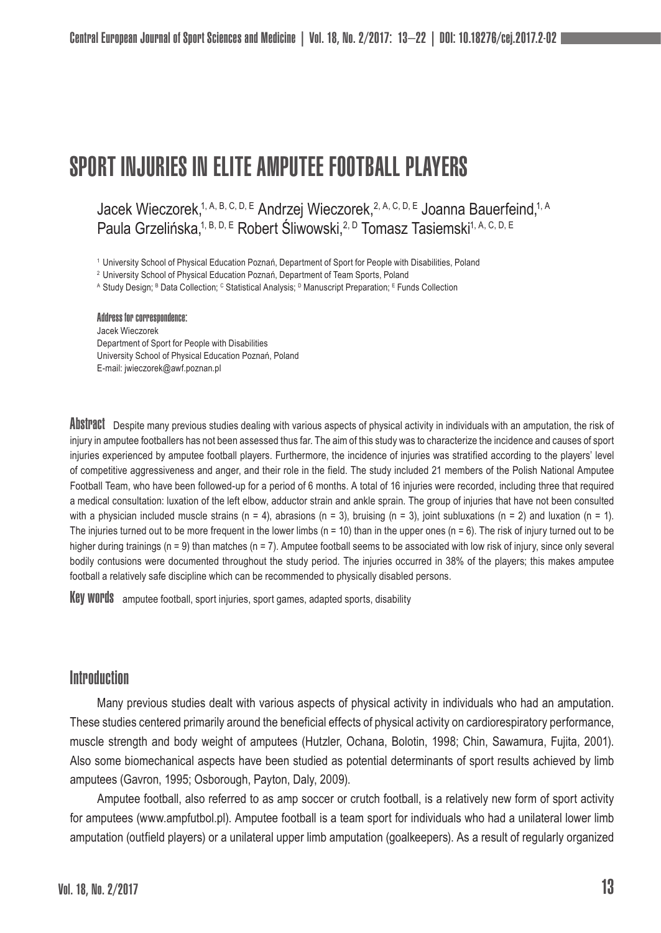# SPORT INJURIES IN ELITE AMPUTEE FOOTBALL PLAYERS

Jacek Wieczorek,<sup>1, A, B, C, D, E</sup> Andrzej Wieczorek,<sup>2, A, C, D, E</sup> Joanna Bauerfeind,<sup>1, A</sup> Paula Grzelińska,<sup>1, B, D, E</sup> Robert Śliwowski, <sup>2, D</sup> Tomasz Tasiemski<sup>1, A, C, D, E</sup>

<sup>1</sup> University School of Physical Education Poznań, Department of Sport for People with Disabilities, Poland

<sup>2</sup> University School of Physical Education Poznań, Department of Team Sports, Poland

A Study Design; <sup>в</sup> Data Collection; <sup>с</sup> Statistical Analysis; <sup>в</sup> Manuscript Preparation; <sup>ь</sup> Funds Collection

Address for correspondence: Jacek Wieczorek Department of Sport for People with Disabilities University School of Physical Education Poznań, Poland E-mail: jwieczorek@awf.poznan.pl

ADSTIPACT Despite many previous studies dealing with various aspects of physical activity in individuals with an amputation, the risk of injury in amputee footballers has not been assessed thus far. The aim of this study was to characterize the incidence and causes of sport injuries experienced by amputee football players. Furthermore, the incidence of injuries was stratified according to the players' level of competitive aggressiveness and anger, and their role in the field. The study included 21 members of the Polish National Amputee Football Team, who have been followed-up for a period of 6 months. A total of 16 injuries were recorded, including three that required a medical consultation: luxation of the left elbow, adductor strain and ankle sprain. The group of injuries that have not been consulted with a physician included muscle strains (n = 4), abrasions (n = 3), bruising (n = 3), joint subluxations (n = 2) and luxation (n = 1). The injuries turned out to be more frequent in the lower limbs  $(n = 10)$  than in the upper ones  $(n = 6)$ . The risk of injury turned out to be higher during trainings (n = 9) than matches (n = 7). Amputee football seems to be associated with low risk of injury, since only several bodily contusions were documented throughout the study period. The injuries occurred in 38% of the players; this makes amputee football a relatively safe discipline which can be recommended to physically disabled persons.

Key words amputee football, sport injuries, sport games, adapted sports, disability

## **Introduction**

Many previous studies dealt with various aspects of physical activity in individuals who had an amputation. These studies centered primarily around the beneficial effects of physical activity on cardiorespiratory performance, muscle strength and body weight of amputees (Hutzler, Ochana, Bolotin, 1998; Chin, Sawamura, Fujita, 2001). Also some biomechanical aspects have been studied as potential determinants of sport results achieved by limb amputees (Gavron, 1995; Osborough, Payton, Daly, 2009).

Amputee football, also referred to as amp soccer or crutch football, is a relatively new form of sport activity for amputees (www.ampfutbol.pl). Amputee football is a team sport for individuals who had a unilateral lower limb amputation (outfield players) or a unilateral upper limb amputation (goalkeepers). As a result of regularly organized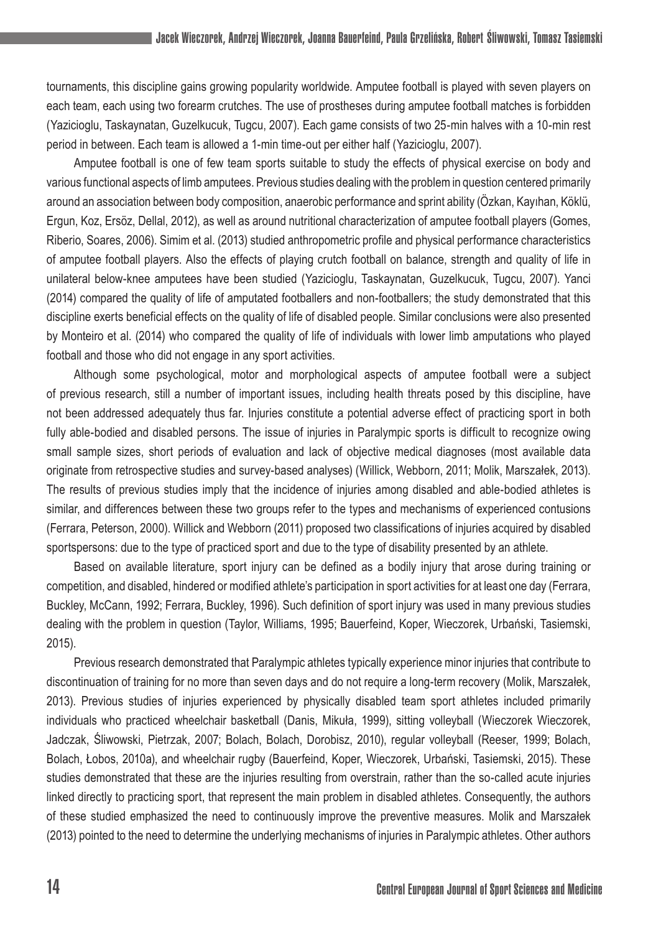tournaments, this discipline gains growing popularity worldwide. Amputee football is played with seven players on each team, each using two forearm crutches. The use of prostheses during amputee football matches is forbidden (Yazicioglu, Taskaynatan, Guzelkucuk, Tugcu, 2007). Each game consists of two 25-min halves with a 10-min rest period in between. Each team is allowed a 1-min time-out per either half (Yazicioglu, 2007).

Amputee football is one of few team sports suitable to study the effects of physical exercise on body and various functional aspects of limb amputees. Previous studies dealing with the problem in question centered primarily around an association between body composition, anaerobic performance and sprint ability (Özkan, Kayıhan, Köklü, Ergun, Koz, Ersöz, Dellal, 2012), as well as around nutritional characterization of amputee football players (Gomes, Riberio, Soares, 2006). Simim et al. (2013) studied anthropometric profile and physical performance characteristics of amputee football players. Also the effects of playing crutch football on balance, strength and quality of life in unilateral below-knee amputees have been studied (Yazicioglu, Taskaynatan, Guzelkucuk, Tugcu, 2007). Yanci (2014) compared the quality of life of amputated footballers and non-footballers; the study demonstrated that this discipline exerts beneficial effects on the quality of life of disabled people. Similar conclusions were also presented by Monteiro et al. (2014) who compared the quality of life of individuals with lower limb amputations who played football and those who did not engage in any sport activities.

Although some psychological, motor and morphological aspects of amputee football were a subject of previous research, still a number of important issues, including health threats posed by this discipline, have not been addressed adequately thus far. Injuries constitute a potential adverse effect of practicing sport in both fully able-bodied and disabled persons. The issue of injuries in Paralympic sports is difficult to recognize owing small sample sizes, short periods of evaluation and lack of objective medical diagnoses (most available data originate from retrospective studies and survey-based analyses) (Willick, Webborn, 2011; Molik, Marszałek, 2013). The results of previous studies imply that the incidence of injuries among disabled and able-bodied athletes is similar, and differences between these two groups refer to the types and mechanisms of experienced contusions (Ferrara, Peterson, 2000). Willick and Webborn (2011) proposed two classifications of injuries acquired by disabled sportspersons: due to the type of practiced sport and due to the type of disability presented by an athlete.

Based on available literature, sport injury can be defined as a bodily injury that arose during training or competition, and disabled, hindered or modified athlete's participation in sport activities for at least one day (Ferrara, Buckley, McCann, 1992; Ferrara, Buckley, 1996). Such definition of sport injury was used in many previous studies dealing with the problem in question (Taylor, Williams, 1995; Bauerfeind, Koper, Wieczorek, Urbański, Tasiemski, 2015).

Previous research demonstrated that Paralympic athletes typically experience minor injuries that contribute to discontinuation of training for no more than seven days and do not require a long-term recovery (Molik, Marszałek, 2013). Previous studies of injuries experienced by physically disabled team sport athletes included primarily individuals who practiced wheelchair basketball (Danis, Mikuła, 1999), sitting volleyball (Wieczorek Wieczorek, Jadczak, Śliwowski, Pietrzak, 2007; Bolach, Bolach, Dorobisz, 2010), regular volleyball (Reeser, 1999; Bolach, Bolach, Łobos, 2010a), and wheelchair rugby (Bauerfeind, Koper, Wieczorek, Urbański, Tasiemski, 2015). These studies demonstrated that these are the injuries resulting from overstrain, rather than the so-called acute injuries linked directly to practicing sport, that represent the main problem in disabled athletes. Consequently, the authors of these studied emphasized the need to continuously improve the preventive measures. Molik and Marszałek (2013) pointed to the need to determine the underlying mechanisms of injuries in Paralympic athletes. Other authors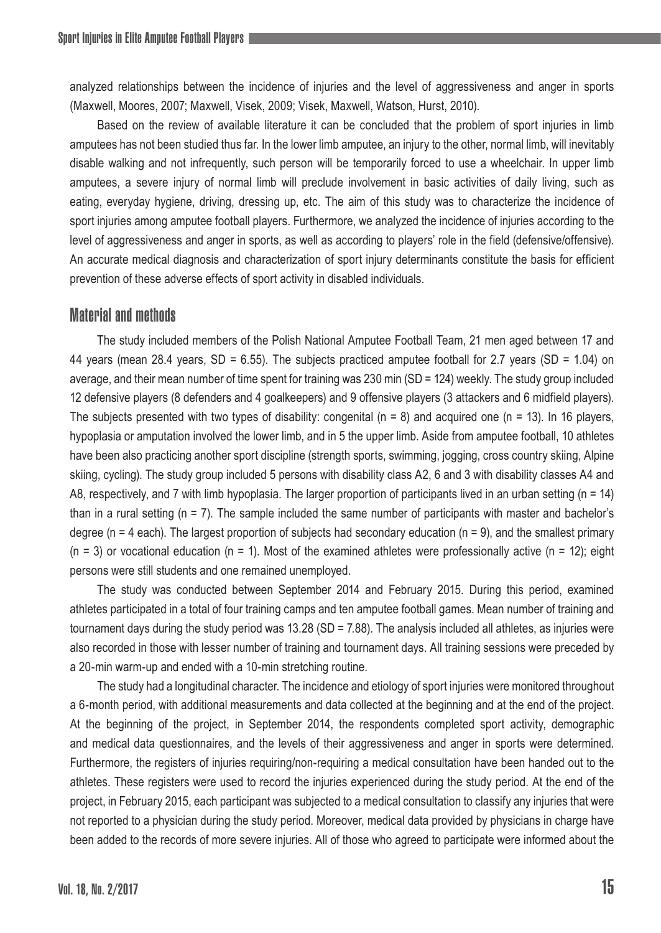analyzed relationships between the incidence of injuries and the level of aggressiveness and anger in sports (Maxwell, Moores, 2007; Maxwell, Visek, 2009; Visek, Maxwell, Watson, Hurst, 2010).

Based on the review of available literature it can be concluded that the problem of sport injuries in limb amputees has not been studied thus far. In the lower limb amputee, an injury to the other, normal limb, will inevitably disable walking and not infrequently, such person will be temporarily forced to use a wheelchair. In upper limb amputees, a severe injury of normal limb will preclude involvement in basic activities of daily living, such as eating, everyday hygiene, driving, dressing up, etc. The aim of this study was to characterize the incidence of sport injuries among amputee football players. Furthermore, we analyzed the incidence of injuries according to the level of aggressiveness and anger in sports, as well as according to players' role in the field (defensive/offensive). An accurate medical diagnosis and characterization of sport injury determinants constitute the basis for efficient prevention of these adverse effects of sport activity in disabled individuals.

## Material and methods

The study included members of the Polish National Amputee Football Team, 21 men aged between 17 and 44 years (mean 28.4 years, SD = 6.55). The subjects practiced amputee football for 2.7 years (SD = 1.04) on average, and their mean number of time spent for training was 230 min (SD = 124) weekly. The study group included 12 defensive players (8 defenders and 4 goalkeepers) and 9 offensive players (3 attackers and 6 midfield players). The subjects presented with two types of disability: congenital  $(n = 8)$  and acquired one  $(n = 13)$ . In 16 players, hypoplasia or amputation involved the lower limb, and in 5 the upper limb. Aside from amputee football, 10 athletes have been also practicing another sport discipline (strength sports, swimming, jogging, cross country skiing, Alpine skiing, cycling). The study group included 5 persons with disability class A2, 6 and 3 with disability classes A4 and A8, respectively, and 7 with limb hypoplasia. The larger proportion of participants lived in an urban setting (n = 14) than in a rural setting (n = 7). The sample included the same number of participants with master and bachelor's degree (n = 4 each). The largest proportion of subjects had secondary education (n = 9), and the smallest primary  $(n = 3)$  or vocational education  $(n = 1)$ . Most of the examined athletes were professionally active  $(n = 12)$ ; eight persons were still students and one remained unemployed.

The study was conducted between September 2014 and February 2015. During this period, examined athletes participated in a total of four training camps and ten amputee football games. Mean number of training and tournament days during the study period was 13.28 (SD = 7.88). The analysis included all athletes, as injuries were also recorded in those with lesser number of training and tournament days. All training sessions were preceded by a 20-min warm-up and ended with a 10-min stretching routine.

The study had a longitudinal character. The incidence and etiology of sport injuries were monitored throughout a 6-month period, with additional measurements and data collected at the beginning and at the end of the project. At the beginning of the project, in September 2014, the respondents completed sport activity, demographic and medical data questionnaires, and the levels of their aggressiveness and anger in sports were determined. Furthermore, the registers of injuries requiring/non-requiring a medical consultation have been handed out to the athletes. These registers were used to record the injuries experienced during the study period. At the end of the project, in February 2015, each participant was subjected to a medical consultation to classify any injuries that were not reported to a physician during the study period. Moreover, medical data provided by physicians in charge have been added to the records of more severe injuries. All of those who agreed to participate were informed about the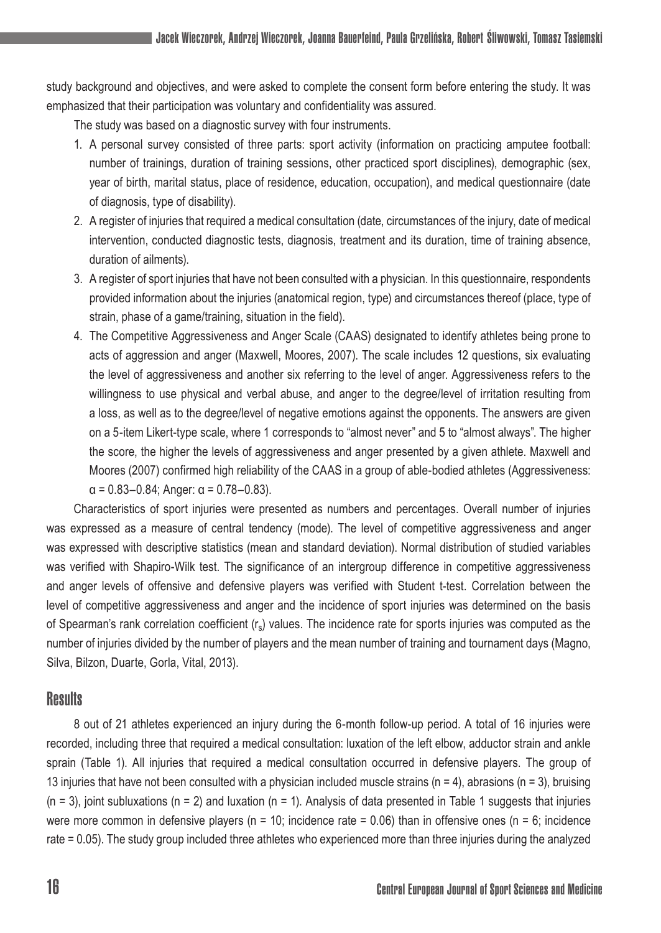study background and objectives, and were asked to complete the consent form before entering the study. It was emphasized that their participation was voluntary and confidentiality was assured.

The study was based on a diagnostic survey with four instruments.

- 1. A personal survey consisted of three parts: sport activity (information on practicing amputee football: number of trainings, duration of training sessions, other practiced sport disciplines), demographic (sex, year of birth, marital status, place of residence, education, occupation), and medical questionnaire (date of diagnosis, type of disability).
- 2. A register of injuries that required a medical consultation (date, circumstances of the injury, date of medical intervention, conducted diagnostic tests, diagnosis, treatment and its duration, time of training absence, duration of ailments).
- 3. A register of sport injuries that have not been consulted with a physician. In this questionnaire, respondents provided information about the injuries (anatomical region, type) and circumstances thereof (place, type of strain, phase of a game/training, situation in the field).
- 4. The Competitive Aggressiveness and Anger Scale (CAAS) designated to identify athletes being prone to acts of aggression and anger (Maxwell, Moores, 2007). The scale includes 12 questions, six evaluating the level of aggressiveness and another six referring to the level of anger. Aggressiveness refers to the willingness to use physical and verbal abuse, and anger to the degree/level of irritation resulting from a loss, as well as to the degree/level of negative emotions against the opponents. The answers are given on a 5-item Likert-type scale, where 1 corresponds to "almost never" and 5 to "almost always". The higher the score, the higher the levels of aggressiveness and anger presented by a given athlete. Maxwell and Moores (2007) confirmed high reliability of the CAAS in a group of able-bodied athletes (Aggressiveness:  $\alpha$  = 0.83–0.84; Anger:  $\alpha$  = 0.78–0.83).

Characteristics of sport injuries were presented as numbers and percentages. Overall number of injuries was expressed as a measure of central tendency (mode). The level of competitive aggressiveness and anger was expressed with descriptive statistics (mean and standard deviation). Normal distribution of studied variables was verified with Shapiro-Wilk test. The significance of an intergroup difference in competitive aggressiveness and anger levels of offensive and defensive players was verified with Student t-test. Correlation between the level of competitive aggressiveness and anger and the incidence of sport injuries was determined on the basis of Spearman's rank correlation coefficient (rs) values. The incidence rate for sports injuries was computed as the number of injuries divided by the number of players and the mean number of training and tournament days (Magno, Silva, Bilzon, Duarte, Gorla, Vital, 2013).

## **Results**

8 out of 21 athletes experienced an injury during the 6-month follow-up period. A total of 16 injuries were recorded, including three that required a medical consultation: luxation of the left elbow, adductor strain and ankle sprain (Table 1). All injuries that required a medical consultation occurred in defensive players. The group of 13 injuries that have not been consulted with a physician included muscle strains ( $n = 4$ ), abrasions ( $n = 3$ ), bruising  $(n = 3)$ , joint subluxations  $(n = 2)$  and luxation  $(n = 1)$ . Analysis of data presented in Table 1 suggests that injuries were more common in defensive players ( $n = 10$ ; incidence rate = 0.06) than in offensive ones ( $n = 6$ ; incidence rate = 0.05). The study group included three athletes who experienced more than three injuries during the analyzed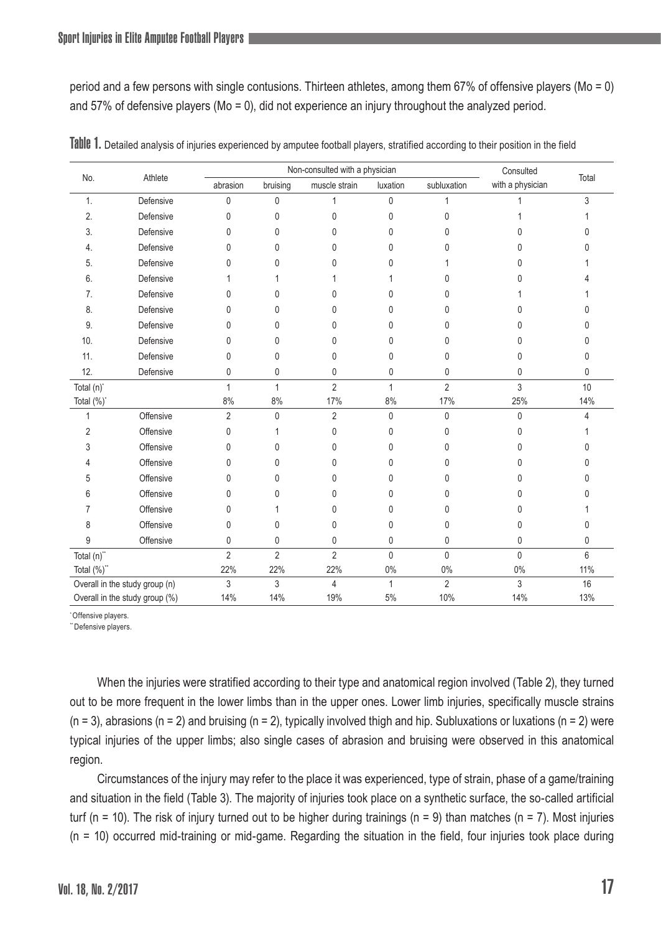period and a few persons with single contusions. Thirteen athletes, among them 67% of offensive players (Mo = 0) and 57% of defensive players (Mo = 0), did not experience an injury throughout the analyzed period.

|                                | Athlete   |                | Non-consulted with a physician | Consulted      |              |                |                  |       |
|--------------------------------|-----------|----------------|--------------------------------|----------------|--------------|----------------|------------------|-------|
| No.                            |           | abrasion       | bruising                       | muscle strain  | luxation     | subluxation    | with a physician | Total |
| 1.                             | Defensive | $\mathbf 0$    | $\mathbf 0$                    | 1              | 0            | 1              |                  | 3     |
| $\overline{2}$                 | Defensive | $\mathbf{0}$   | 0                              | 0              | 0            | 0              |                  |       |
| 3.                             | Defensive | $\mathbf{0}$   | 0                              | 0              | 0            | 0              | n                | 0     |
| 4.                             | Defensive | 0              | $\mathbf{0}$                   | 0              | 0            | 0              | N                |       |
| 5.                             | Defensive | 0              | 0                              | 0              | 0            |                | n                |       |
| 6.                             | Defensive |                |                                |                |              | 0              |                  |       |
| 7.                             | Defensive | $\mathbf{0}$   | 0                              | 0              | 0            | U              |                  |       |
| 8.                             | Defensive | $\Omega$       | $\mathbf{0}$                   | 0              | 0            | 0              | N                | 0     |
| 9.                             | Defensive | 0              | 0                              | 0              | 0            | 0              |                  | 0     |
| 10.                            | Defensive | 0              | $\mathbf{0}$                   | 0              | 0            | 0              | N                | 0     |
| 11.                            | Defensive | 0              | 0                              | 0              | 0            | $\mathbf{0}$   | $\mathbf{0}$     | 0     |
| 12.                            | Defensive | 0              | 0                              | 0              | 0            | 0              | 0                | 0     |
| Total (n)*                     |           | 1              | $\mathbf{1}$                   | $\overline{2}$ | $\mathbf{1}$ | $\overline{2}$ | 3                | 10    |
| Total (%)*                     |           | 8%             | 8%                             | 17%            | 8%           | 17%            | 25%              | 14%   |
| 1                              | Offensive | $\overline{2}$ | $\mathbf 0$                    | $\overline{2}$ | 0            | $\mathbf{0}$   | $\mathbf{0}$     | 4     |
| $\overline{2}$                 | Offensive | $\mathbf{0}$   | 1                              | 0              | 0            | $\Omega$       | $\Omega$         |       |
| 3                              | Offensive | $\mathbf{0}$   | $\mathbf{0}$                   | 0              | 0            | $\Omega$       | U                | 0     |
|                                | Offensive | $\mathbf{0}$   | $\mathbf{0}$                   | 0              | 0            | 0              | U                | 0     |
| 5                              | Offensive | $\Omega$       | $\mathbf{0}$                   | 0              | 0            | 0              | N                | 0     |
| 6                              | Offensive | $\mathbf{0}$   | 0                              | 0              | 0            | 0              | 0                | N     |
| 7                              | Offensive | $\mathbf{0}$   | 1                              | 0              | 0            | 0              | N                |       |
| 8                              | Offensive | $\mathbf{0}$   | 0                              | 0              | 0            | 0              | $\Omega$         | 0     |
| 9                              | Offensive | 0              | 0                              | 0              | 0            | 0              | $\mathbf{0}$     | 0     |
| Total (n)"                     |           | $\overline{2}$ | $\overline{2}$                 | $\overline{2}$ | 0            | $\mathbf{0}$   | $\mathbf{0}$     | 6     |
| Total (%)"                     |           | 22%            | 22%                            | 22%            | 0%           | $0\%$          | $0\%$            | 11%   |
| Overall in the study group (n) |           | 3              | 3                              | 4              | 1            | $\overline{2}$ | 3                | 16    |
| Overall in the study group (%) |           | 14%            | 14%                            | 19%            | 5%           | 10%            | 14%              | 13%   |

|  |  | Table 1. Detailed analysis of injuries experienced by amputee football players, stratified according to their position in the field |  |  |  |  |  |  |  |  |
|--|--|-------------------------------------------------------------------------------------------------------------------------------------|--|--|--|--|--|--|--|--|
|--|--|-------------------------------------------------------------------------------------------------------------------------------------|--|--|--|--|--|--|--|--|

\* Offensive players.

"Defensive players.

When the injuries were stratified according to their type and anatomical region involved (Table 2), they turned out to be more frequent in the lower limbs than in the upper ones. Lower limb injuries, specifically muscle strains  $(n = 3)$ , abrasions  $(n = 2)$  and bruising  $(n = 2)$ , typically involved thigh and hip. Subluxations or luxations  $(n = 2)$  were typical injuries of the upper limbs; also single cases of abrasion and bruising were observed in this anatomical region.

Circumstances of the injury may refer to the place it was experienced, type of strain, phase of a game/training and situation in the field (Table 3). The majority of injuries took place on a synthetic surface, the so-called artificial turf (n = 10). The risk of injury turned out to be higher during trainings (n = 9) than matches (n = 7). Most injuries (n = 10) occurred mid-training or mid-game. Regarding the situation in the field, four injuries took place during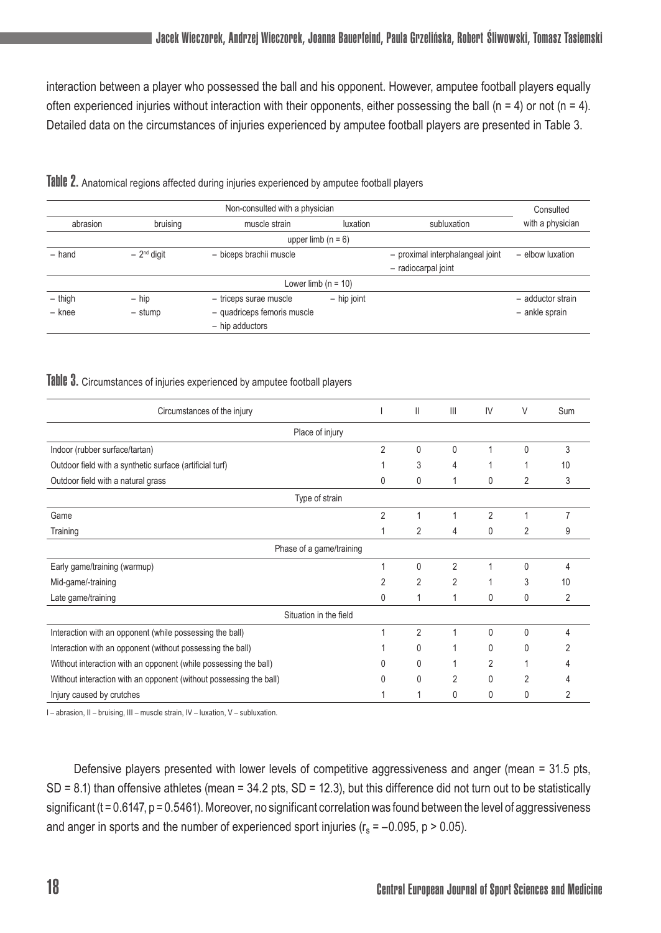interaction between a player who possessed the ball and his opponent. However, amputee football players equally often experienced injuries without interaction with their opponents, either possessing the ball (n = 4) or not (n = 4). Detailed data on the circumstances of injuries experienced by amputee football players are presented in Table 3.

|           | Consulted            |                             |                       |                                  |                   |  |  |  |  |  |
|-----------|----------------------|-----------------------------|-----------------------|----------------------------------|-------------------|--|--|--|--|--|
| abrasion  | bruising             | muscle strain               | luxation              | subluxation                      | with a physician  |  |  |  |  |  |
|           | upper limb $(n = 6)$ |                             |                       |                                  |                   |  |  |  |  |  |
| $-$ hand  | $-2nd$ digit         | - biceps brachii muscle     |                       | - proximal interphalangeal joint | - elbow luxation  |  |  |  |  |  |
|           |                      |                             |                       |                                  |                   |  |  |  |  |  |
|           |                      |                             | Lower limb $(n = 10)$ |                                  |                   |  |  |  |  |  |
| $-$ thigh | $-$ hip              | - triceps surae muscle      | $-$ hip joint         |                                  | - adductor strain |  |  |  |  |  |
| - knee    | - stump              | - quadriceps femoris muscle |                       |                                  | - ankle sprain    |  |  |  |  |  |
|           |                      | - hip adductors             |                       |                                  |                   |  |  |  |  |  |

Table 2. Anatomical regions affected during injuries experienced by amputee football players

#### Table 3. Circumstances of injuries experienced by amputee football players

| Circumstances of the injury                                        |                | Ш              | Ш              | IV             | V              | Sum            |  |  |  |  |
|--------------------------------------------------------------------|----------------|----------------|----------------|----------------|----------------|----------------|--|--|--|--|
| Place of injury                                                    |                |                |                |                |                |                |  |  |  |  |
| Indoor (rubber surface/tartan)                                     | 2              | 0              | 0              | 1              | 0              | 3              |  |  |  |  |
| Outdoor field with a synthetic surface (artificial turf)           |                | 3              | 4              |                |                | 10             |  |  |  |  |
| Outdoor field with a natural grass                                 | 0              | 0              |                | 0              | $\overline{2}$ | 3              |  |  |  |  |
| Type of strain                                                     |                |                |                |                |                |                |  |  |  |  |
| Game                                                               | $\overline{2}$ |                |                | $\overline{2}$ | 4              | $\overline{7}$ |  |  |  |  |
| Training                                                           |                | 2              | 4              | 0              | 2              | 9              |  |  |  |  |
| Phase of a game/training                                           |                |                |                |                |                |                |  |  |  |  |
| Early game/training (warmup)                                       | 1              | $\mathbf{0}$   | $\overline{2}$ |                | 0              | Δ              |  |  |  |  |
| Mid-game/-training                                                 | $\overline{2}$ | $\overline{2}$ | $\overline{2}$ |                | 3              | 10             |  |  |  |  |
| Late game/training                                                 | 0              |                | 1              | 0              | 0              | 2              |  |  |  |  |
| Situation in the field                                             |                |                |                |                |                |                |  |  |  |  |
| Interaction with an opponent (while possessing the ball)           |                | $\overline{2}$ |                | $\Omega$       | 0              | Δ              |  |  |  |  |
| Interaction with an opponent (without possessing the ball)         |                | 0              |                | 0              | 0              |                |  |  |  |  |
| Without interaction with an opponent (while possessing the ball)   |                | $\Omega$       |                | $\overline{2}$ |                |                |  |  |  |  |
| Without interaction with an opponent (without possessing the ball) | U              | 0              | 2              | 0              | $\overline{2}$ |                |  |  |  |  |
| Injury caused by crutches                                          |                |                | 0              | 0              | 0              | 2              |  |  |  |  |

I – abrasion, II – bruising, III – muscle strain, IV – luxation, V – subluxation.

Defensive players presented with lower levels of competitive aggressiveness and anger (mean = 31.5 pts, SD = 8.1) than offensive athletes (mean = 34.2 pts, SD = 12.3), but this difference did not turn out to be statistically significant ( $t = 0.6147$ ,  $p = 0.5461$ ). Moreover, no significant correlation was found between the level of aggressiveness and anger in sports and the number of experienced sport injuries ( $r_s = -0.095$ , p > 0.05).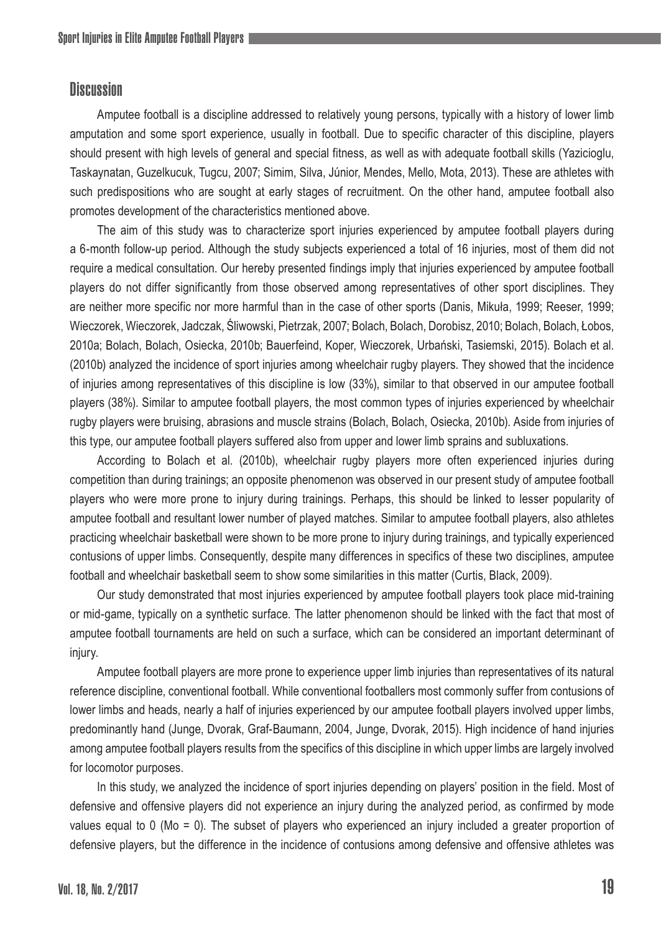## **Discussion**

Amputee football is a discipline addressed to relatively young persons, typically with a history of lower limb amputation and some sport experience, usually in football. Due to specific character of this discipline, players should present with high levels of general and special fitness, as well as with adequate football skills (Yazicioglu, Taskaynatan, Guzelkucuk, Tugcu, 2007; Simim, Silva, Júnior, Mendes, Mello, Mota, 2013). These are athletes with such predispositions who are sought at early stages of recruitment. On the other hand, amputee football also promotes development of the characteristics mentioned above.

The aim of this study was to characterize sport injuries experienced by amputee football players during a 6-month follow-up period. Although the study subjects experienced a total of 16 injuries, most of them did not require a medical consultation. Our hereby presented findings imply that injuries experienced by amputee football players do not differ significantly from those observed among representatives of other sport disciplines. They are neither more specific nor more harmful than in the case of other sports (Danis, Mikuła, 1999; Reeser, 1999; Wieczorek, Wieczorek, Jadczak, Śliwowski, Pietrzak, 2007; Bolach, Bolach, Dorobisz, 2010; Bolach, Bolach, Łobos, 2010a; Bolach, Bolach, Osiecka, 2010b; Bauerfeind, Koper, Wieczorek, Urbański, Tasiemski, 2015). Bolach et al. (2010b) analyzed the incidence of sport injuries among wheelchair rugby players. They showed that the incidence of injuries among representatives of this discipline is low (33%), similar to that observed in our amputee football players (38%). Similar to amputee football players, the most common types of injuries experienced by wheelchair rugby players were bruising, abrasions and muscle strains (Bolach, Bolach, Osiecka, 2010b). Aside from injuries of this type, our amputee football players suffered also from upper and lower limb sprains and subluxations.

According to Bolach et al. (2010b), wheelchair rugby players more often experienced injuries during competition than during trainings; an opposite phenomenon was observed in our present study of amputee football players who were more prone to injury during trainings. Perhaps, this should be linked to lesser popularity of amputee football and resultant lower number of played matches. Similar to amputee football players, also athletes practicing wheelchair basketball were shown to be more prone to injury during trainings, and typically experienced contusions of upper limbs. Consequently, despite many differences in specifics of these two disciplines, amputee football and wheelchair basketball seem to show some similarities in this matter (Curtis, Black, 2009).

Our study demonstrated that most injuries experienced by amputee football players took place mid-training or mid-game, typically on a synthetic surface. The latter phenomenon should be linked with the fact that most of amputee football tournaments are held on such a surface, which can be considered an important determinant of injury.

Amputee football players are more prone to experience upper limb injuries than representatives of its natural reference discipline, conventional football. While conventional footballers most commonly suffer from contusions of lower limbs and heads, nearly a half of injuries experienced by our amputee football players involved upper limbs, predominantly hand (Junge, Dvorak, Graf-Baumann, 2004, Junge, Dvorak, 2015). High incidence of hand injuries among amputee football players results from the specifics of this discipline in which upper limbs are largely involved for locomotor purposes.

In this study, we analyzed the incidence of sport injuries depending on players' position in the field. Most of defensive and offensive players did not experience an injury during the analyzed period, as confirmed by mode values equal to 0 (Mo = 0). The subset of players who experienced an injury included a greater proportion of defensive players, but the difference in the incidence of contusions among defensive and offensive athletes was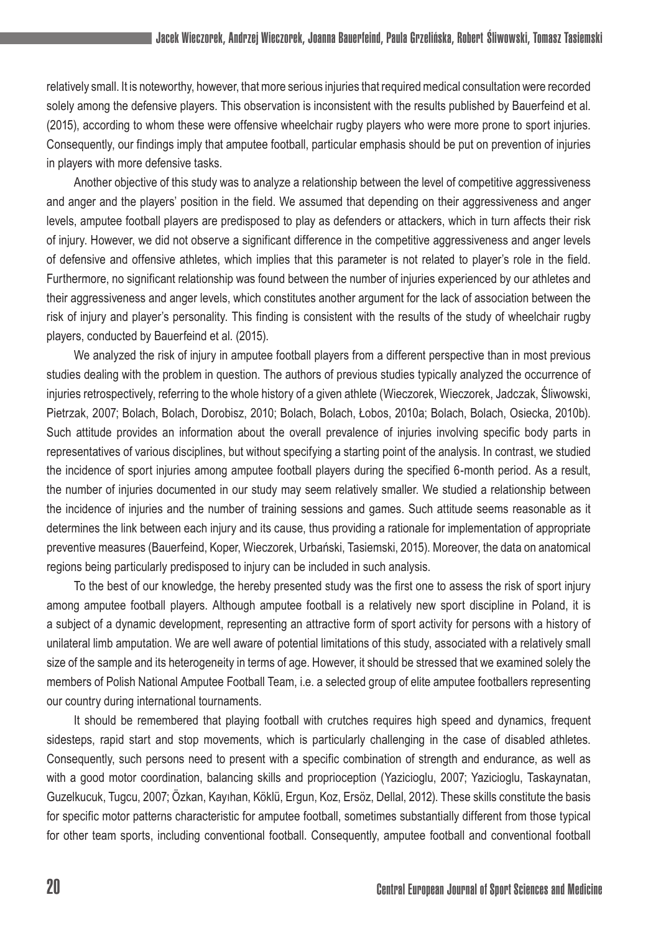relatively small. It is noteworthy, however, that more serious injuries that required medical consultation were recorded solely among the defensive players. This observation is inconsistent with the results published by Bauerfeind et al. (2015), according to whom these were offensive wheelchair rugby players who were more prone to sport injuries. Consequently, our findings imply that amputee football, particular emphasis should be put on prevention of injuries in players with more defensive tasks.

Another objective of this study was to analyze a relationship between the level of competitive aggressiveness and anger and the players' position in the field. We assumed that depending on their aggressiveness and anger levels, amputee football players are predisposed to play as defenders or attackers, which in turn affects their risk of injury. However, we did not observe a significant difference in the competitive aggressiveness and anger levels of defensive and offensive athletes, which implies that this parameter is not related to player's role in the field. Furthermore, no significant relationship was found between the number of injuries experienced by our athletes and their aggressiveness and anger levels, which constitutes another argument for the lack of association between the risk of injury and player's personality. This finding is consistent with the results of the study of wheelchair rugby players, conducted by Bauerfeind et al. (2015).

We analyzed the risk of injury in amputee football players from a different perspective than in most previous studies dealing with the problem in question. The authors of previous studies typically analyzed the occurrence of injuries retrospectively, referring to the whole history of a given athlete (Wieczorek, Wieczorek, Jadczak, Śliwowski, Pietrzak, 2007; Bolach, Bolach, Dorobisz, 2010; Bolach, Bolach, Łobos, 2010a; Bolach, Bolach, Osiecka, 2010b). Such attitude provides an information about the overall prevalence of injuries involving specific body parts in representatives of various disciplines, but without specifying a starting point of the analysis. In contrast, we studied the incidence of sport injuries among amputee football players during the specified 6-month period. As a result, the number of injuries documented in our study may seem relatively smaller. We studied a relationship between the incidence of injuries and the number of training sessions and games. Such attitude seems reasonable as it determines the link between each injury and its cause, thus providing a rationale for implementation of appropriate preventive measures (Bauerfeind, Koper, Wieczorek, Urbański, Tasiemski, 2015). Moreover, the data on anatomical regions being particularly predisposed to injury can be included in such analysis.

To the best of our knowledge, the hereby presented study was the first one to assess the risk of sport injury among amputee football players. Although amputee football is a relatively new sport discipline in Poland, it is a subject of a dynamic development, representing an attractive form of sport activity for persons with a history of unilateral limb amputation. We are well aware of potential limitations of this study, associated with a relatively small size of the sample and its heterogeneity in terms of age. However, it should be stressed that we examined solely the members of Polish National Amputee Football Team, i.e. a selected group of elite amputee footballers representing our country during international tournaments.

It should be remembered that playing football with crutches requires high speed and dynamics, frequent sidesteps, rapid start and stop movements, which is particularly challenging in the case of disabled athletes. Consequently, such persons need to present with a specific combination of strength and endurance, as well as with a good motor coordination, balancing skills and proprioception (Yazicioglu, 2007; Yazicioglu, Taskaynatan, Guzelkucuk, Tugcu, 2007; Özkan, Kayıhan, Köklü, Ergun, Koz, Ersöz, Dellal, 2012). These skills constitute the basis for specific motor patterns characteristic for amputee football, sometimes substantially different from those typical for other team sports, including conventional football. Consequently, amputee football and conventional football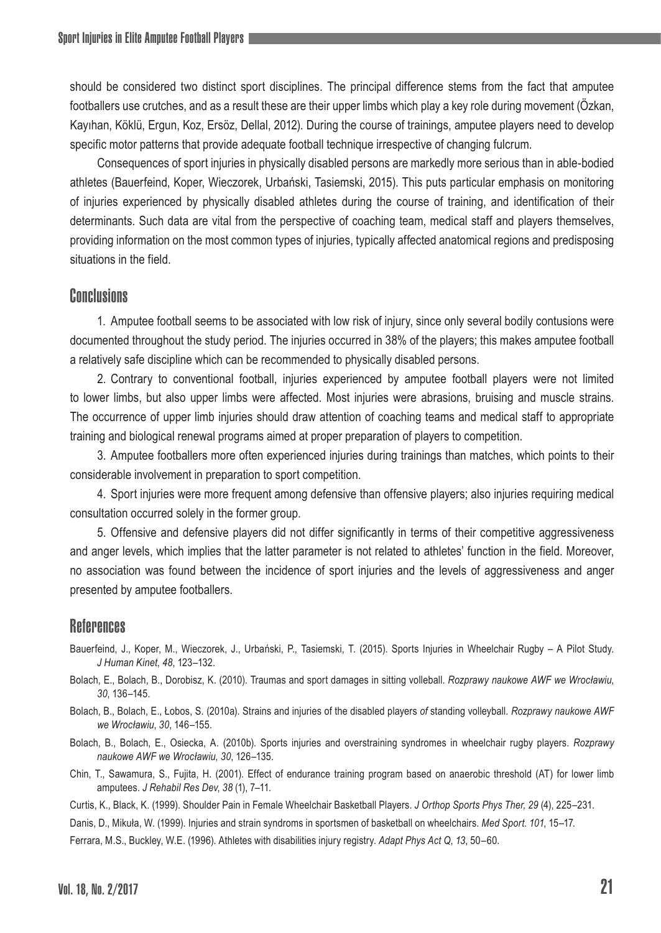should be considered two distinct sport disciplines. The principal difference stems from the fact that amputee footballers use crutches, and as a result these are their upper limbs which play a key role during movement (Özkan, Kayıhan, Köklü, Ergun, Koz, Ersöz, Dellal, 2012). During the course of trainings, amputee players need to develop specific motor patterns that provide adequate football technique irrespective of changing fulcrum.

Consequences of sport injuries in physically disabled persons are markedly more serious than in able-bodied athletes (Bauerfeind, Koper, Wieczorek, Urbański, Tasiemski, 2015). This puts particular emphasis on monitoring of injuries experienced by physically disabled athletes during the course of training, and identification of their determinants. Such data are vital from the perspective of coaching team, medical staff and players themselves, providing information on the most common types of injuries, typically affected anatomical regions and predisposing situations in the field.

# Conclusions

1. Amputee football seems to be associated with low risk of injury, since only several bodily contusions were documented throughout the study period. The injuries occurred in 38% of the players; this makes amputee football a relatively safe discipline which can be recommended to physically disabled persons.

2. Contrary to conventional football, injuries experienced by amputee football players were not limited to lower limbs, but also upper limbs were affected. Most injuries were abrasions, bruising and muscle strains. The occurrence of upper limb injuries should draw attention of coaching teams and medical staff to appropriate training and biological renewal programs aimed at proper preparation of players to competition.

3. Amputee footballers more often experienced injuries during trainings than matches, which points to their considerable involvement in preparation to sport competition.

4. Sport injuries were more frequent among defensive than offensive players; also injuries requiring medical consultation occurred solely in the former group.

5. Offensive and defensive players did not differ significantly in terms of their competitive aggressiveness and anger levels, which implies that the latter parameter is not related to athletes' function in the field. Moreover, no association was found between the incidence of sport injuries and the levels of aggressiveness and anger presented by amputee footballers.

### References

- Bauerfeind, J., Koper, M., Wieczorek, J., Urbański, P., Tasiemski, T. (2015). Sports Injuries in Wheelchair Rugby A Pilot Study. *J Human Kinet*, *48*, 123–132.
- Bolach, E., Bolach, B., Dorobisz, K. (2010). Traumas and sport damages in sitting volleball. *Rozprawy naukowe AWF we Wrocławiu*, *30*, 136–145.
- Bolach, B., Bolach, E., Łobos, S. (2010a). Strains and injuries of the disabled players *of* standing volleyball. *Rozprawy naukowe AWF we Wrocławiu*, *30*, 146–155.
- Bolach, B., Bolach, E., Osiecka, A. (2010b). Sports injuries and overstraining syndromes in wheelchair rugby players. *Rozprawy naukowe AWF we Wrocławiu, 30*, 126–135.
- Chin, T., Sawamura, S., Fujita, H. (2001). Effect of endurance training program based on anaerobic threshold (AT) for lower limb amputees. *J Rehabil Res Dev*, *38* (1), 7–11.
- Curtis, K., Black, K. (1999). Shoulder Pain in Female Wheelchair Basketball Players. *J Orthop Sports Phys Ther, 29* (4), 225–231.

Danis, D., Mikuła, W. (1999). Injuries and strain syndroms in sportsmen of basketball on wheelchairs. *Med Sport*. *101*, 15–17.

Ferrara, M.S., Buckley, W.E. (1996). Athletes with disabilities injury registry. *Adapt Phys Act Q*, *13*, 50–60.